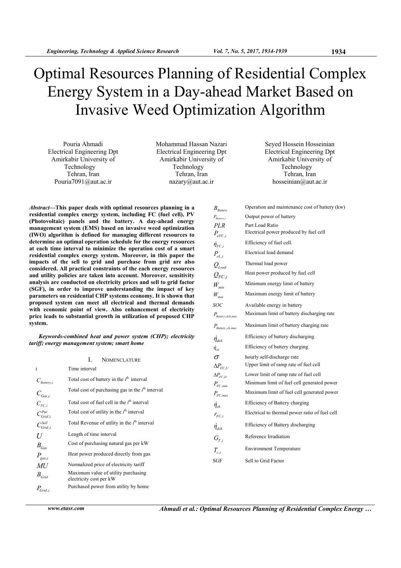# Optimal Resources Planning of Residential Complex Energy System in a Day-ahead Market Based on Invasive Weed Optimization Algorithm

Pouria Αhmadi Electrical Engineering Dpt Amirkabir University of Technology Tehran, Iran Pouria7091@aut.ac.ir

Mohammad Ηassan Νazari Electrical Engineering Dpt Amirkabir University of Technology Tehran, Iran nazary@aut.ac.ir

Seyed Ηossein Ηosseinian Electrical Engineering Dpt Amirkabir University of Technology Tehran, Iran hosseinian@aut.ac.ir

*B<sub>artham</sub>* Operation and maintenance cost of battery (kw)

*P<sub>eFC i</sub>*, Electrical power produced by fuel cell

 $Q_{FC,i}$  Heat power produced by fuel cell *W<sub>min</sub>* Minimum energy limit of battery *W<sub>max</sub>* Maximum energy limit of battery *SOC* Available energy in battery

*P<sub>Battery dch max* Maximum limit of battery discharging rate</sub>  $P_{\text{Battery},\text{ch},\text{max}}$  . Maximum limit of battery charging rate  $\acute{\eta}_{dch}$  Efficiency of battery discharging.  $\eta_{ch}$  Efficiency of battery charging

*P<sub>Battery,i*</sub>, Output power of battery *PLR* Part Load Ratio

 $\acute{\eta}_{FC}$  *i*, Efficiency of fuel cell. *P<sub>eLi</sub>*, Electrical load demand *QLoad* Thermal load power

*Abstract***—This paper deals with optimal resources planning in a residential complex energy system, including FC (fuel cell), PV (Photovoltaic) panels and the battery. A day-ahead energy management system (EMS) based on invasive weed optimization (IWO) algorithm is defined for managing different resources to determine an optimal operation schedule for the energy resources at each time interval to minimize the operation cost of a smart residential complex energy system. Moreover, in this paper the impacts of the sell to grid and purchase from grid are also considered. All practical constraints of the each energy resources and utility policies are taken into account. Moreover, sensitivity analysis are conducted on electricity prices and sell to grid factor (SGF), in order to improve understanding the impact of key parameters on residential CHP systems economy. It is shown that proposed system can meet all electrical and thermal demands with economic point of view. Also enhancement of electricity price leads to substantial growth in utilization of proposed CHP system.** 

*Keywords-combined heat and power system (CHP); electricity tariff; energy management system; smart home* 

|                                   | I.<br><b>NOMENCLATURE</b>                                      | $\sigma$                                                                                                                                                   | hourly self-discharge rate                     |
|-----------------------------------|----------------------------------------------------------------|------------------------------------------------------------------------------------------------------------------------------------------------------------|------------------------------------------------|
| $\mathbf{i}$                      | Time interval                                                  |                                                                                                                                                            | Upper limit of ramp rate of fuel cell          |
|                                   | Total cost of battery in the $ith$ interval                    | $\Delta P_{FC,D}$                                                                                                                                          | Lower limit of ramp rate of fuel cell          |
| $C_{\textit{Battery},i}$          |                                                                | $\Delta P_{FC,U}$<br>$P_{FC,min}$<br>$P_{FC,max}$<br>$\eta_{\scriptscriptstyle ch}$<br>$r_{FC,i}$<br>$\acute{\eta}_{dch}$<br>$G_{T,i}$<br>$T_{c,i}$<br>SGF | Minimum limit of fuel cell generated power     |
| $C_{_{\mathit{Gas}, i}}$          | Total cost of purchasing gas in the $ith$ interval             |                                                                                                                                                            | Maximum limit of fuel cell generated power     |
| $C_{FC,i}$                        | Total cost of fuel cell in the $ith$ interval                  |                                                                                                                                                            | Efficiency of Battery charging                 |
| $C_{\text{Grid},i}^{\text{Pur}}$  | Total cost of utility in the $ith$ interval                    |                                                                                                                                                            | Electrical to thermal power ratio of fuel cell |
| $C_{\text{Grid},i}^{\text{Sell}}$ | Total Revenue of utility in the $ith$ interval                 |                                                                                                                                                            | Efficiency of Battery discharging              |
| U                                 | Length of time interval                                        |                                                                                                                                                            | Reference Irradiation                          |
| $B_{Gas}$                         | Cost of purchasing natural gas per kW                          |                                                                                                                                                            |                                                |
|                                   | Heat power produced directly from gas                          |                                                                                                                                                            | <b>Environment Temperature</b>                 |
| $P_{\rm gas,i}$                   |                                                                |                                                                                                                                                            | Sell to Grid Factor                            |
| MU                                | Normalized price of electricity tariff                         |                                                                                                                                                            |                                                |
| $B_{Grid}$                        | Maximum value of utility purchasing<br>electricity cost per kW |                                                                                                                                                            |                                                |
| $P_{Grid,i}$                      | Purchased power from utility by home                           |                                                                                                                                                            |                                                |

*www.etasr.com Αhmadi et al.: Optimal Resources Planning of Residential Complex Energy …*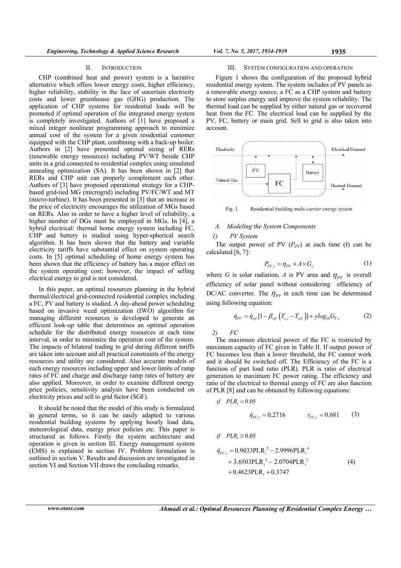#### II. INTRODUCTION

CHP (combined heat and power) system is a lucrative alternative which offers lower energy costs, higher efficiency, higher reliability, stability in the face of uncertain electricity costs and lower greenhouse gas (GHG) production. The application of CHP systems for residential loads will be promoted if optimal operation of the integrated energy system is completely investigated. Authors of [1] have proposed a mixed integer nonlinear programming approach to minimize annual cost of the system for a given residential customer equipped with the CHP plant, combining with a back-up boiler. Authors in [2] have presented optimal sizing of RERs (renewable energy resources) including PV/WT beside CHP units in a grid connected to residential complex using simulated annealing optimization (SA). It has been shown in [2] that RERs and CHP unit can properly complement each other. Authors of [3] have proposed operational strategy for a CHPbased grid-tied MG (microgrid) including PV/FC/WT and MT (micro-turbine). It has been presented in [3] that an increase in the price of electricity encourages the utilization of MGs based on RERs. Also in order to have a higher level of reliability, a higher number of DGs must be employed in MGs. In [4], a hybrid electrical/ thermal home energy system including FC, CHP and battery is studied using hyper-spherical search algorithm. It has been shown that the battery and variable electricity tariffs have substantial effect on system operating costs. In [5] optimal scheduling of home energy system has been shown that the efficiency of battery has a major effect on the system operating cost; however, the impact of selling electrical energy to grid is not considered.

In this paper, an optimal resources planning in the hybrid thermal/electrical grid-connected residential complex including a FC, PV and battery is studied. A day-ahead power scheduling based on invasive weed optimization (IWO) algorithm for managing different resources is developed to generate an efficient look-up table that determines an optimal operation schedule for the distributed energy resources at each time interval, in order to minimize the operation cost of the system. The impacts of bilateral trading to grid during different tariffs are taken into account and all practical constraints of the energy resources and utility are considered. Also accurate models of each energy resources including upper and lower limits of ramp rates of FC and charge and discharge ramp rates of battery are also applied. Moreover, in order to examine different energy price policies, sensitivity analysis have been conducted on electricity prices and sell to grid factor (SGF).

It should be noted that the model of this study is formulated in general terms, so it can be easily adapted to various residential building systems by applying hourly load data, meteorological data, energy price policies etc. This paper is structured as follows. Firstly the system architecture and operation is given in section III. Energy management system (EMS) is explained in section IV. Problem formulation is outlined in section V. Results and discussion are investigated in section VI and Section VII draws the concluding remarks.

## III. SYSTEM CONFIGURATION AND OPERATION

Figure 1 shows the configuration of the proposed hybrid residential energy system. The system includes of PV panels as a renewable energy source, a FC as a CHP system and battery to store surplus energy and improve the system reliability. The thermal load can be supplied by either natural gas or recovered heat from the FC. The electrical load can be supplied by the PV, FC, battery or main grid. Sell to grid is also taken into account.



Fig. 1. Residential *building multi-carrier energy system*

## *A. Modeling the System Components*

#### *1) PV System*

The output power of PV  $(P_{PV})$  at each time (*t*) can be calculated  $\overline{6, 7}$ :

$$
P_{PV,i} = \eta_{PV} \times A \times G_{i}
$$
 (1)

where *G* is solar radiation, *A* is PV area and  $\eta_{PV}$  is overall efficiency of solar panel without considering efficiency of DC/AC converter. The  $\eta_{\mu\nu}$  in each time can be determined using following equation:

$$
\dot{\eta}_{PV} = \dot{\eta}_{ref} [1 - \beta_{ref} (T_{c,i} - T_{ref})] + y \log_{10} G_{T,i}
$$
 (2)

*2) FC* 

The maximum electrical power of the FC is restricted by maximum capacity of FC given in Table II. If output power of FC becomes less than a lower threshold, the FC cannot work and it should be switched off. The Efficiency of the FC is a function of part load ratio (PLR). PLR is ratio of electrical generation to maximum FC power rating. The efficiency and ratio of the electrical to thermal energy of FC are also function of PLR [8] and can be obtained by following equations:

if 
$$
PLR_i < 0.05
$$
  
\n
$$
\dot{\eta}_{FC,i} = 0.2716 \qquad r_{FC,i} = 0.681 \qquad (3)
$$

if 
$$
PLR_i \ge 0.05
$$
  
\n
$$
\dot{\eta}_{FC,i} = 0.9033PLR_i^5 - 2.9996PLR_i^4 + 3.6503PLR_i^3 - 2.0704PLR_i^2 + 0.4623PLR_i + 0.3747
$$
\n(4)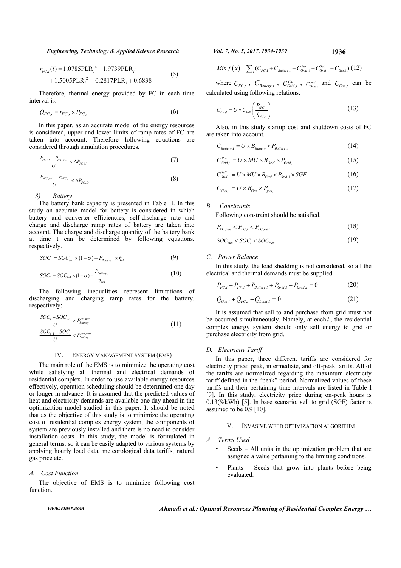$$
r_{FC,i}(t) = 1.0785\text{PLR}_i^4 - 1.9739\text{PLR}_i^3
$$
  
+ 1.5005\text{PLR}\_i^2 - 0.2817\text{PLR}\_i + 0.6838 (5)

Therefore, thermal energy provided by FC in each time interval is:

$$
Q_{FC,i} = r_{FC,i} \times P_{FC,i} \tag{6}
$$

In this paper, as an accurate model of the energy resources is considered, upper and lower limits of ramp rates of FC are taken into account. Therefore following equations are considered through simulation procedures.

$$
\frac{P_{eFC,t} - P_{eFC,t-1}}{U} < \Delta P_{FC,U} \tag{7}
$$

$$
\frac{P_{eFC,t-1} - P_{eFC,t}}{U} < \Delta P_{FC,D} \tag{8}
$$

*3) Battery* 

The battery bank capacity is presented in Table II. In this study an accurate model for battery is considered in which battery and converter efficiencies, self-discharge rate and charge and discharge ramp rates of battery are taken into account. The charge and discharge quantity of the battery bank at time t can be determined by following equations, respectively.

$$
SOCi = SOCi-1 \times (1 - \sigma) + PBattery,i \times \dot{\eta}_{ch}
$$
 (9)

$$
SOCi = SOCi-1 × (1 - \sigma) - \frac{PBattery,i}{\dot{\eta}_{dch}}
$$
 (10)

The following inequalities represent limitations of discharging and charging ramp rates for the battery, respectively:

$$
\frac{SOC_{i} - SOC_{i-1}}{U} > P_{\text{Battery}}^{\text{ch,max}} \tag{11}
$$
\n
$$
\frac{SOC_{i-1} - SOC_{i}}{U} < P_{\text{Battery}}^{\text{deh,max}} \tag{11}
$$

#### IV. ENERGY MANAGEMENT SYSTEM (EMS)

The main role of the EMS is to minimize the operating cost while satisfying all thermal and electrical demands of residential complex. In order to use available energy resources effectively, operation scheduling should be determined one day or longer in advance. It is assumed that the predicted values of heat and electricity demands are available one day ahead in the optimization model studied in this paper. It should be noted that as the objective of this study is to minimize the operating cost of residential complex energy system, the components of system are previously installed and there is no need to consider installation costs. In this study, the model is formulated in general terms, so it can be easily adapted to various systems by applying hourly load data, meteorological data tariffs, natural gas price etc.

## *A. Cost Function*

The objective of EMS is to minimize following cost function.

*Ahmadi et al.: Optimal Resources Planning of Residential Complex Energy ...* 

Min 
$$
f(x) = \sum_i (C_{FC,i} + C_{\text{Battery},i} + C_{\text{Grid},i}^{Pur} - C_{\text{Grid},i}^{Sell} + C_{\text{Gas},i})
$$
 (12)

where  $C_{FC,t}$ ,  $C_{Battery,t}$ ,  $C_{Grid,t}^{Pur}$ ,  $C_{Grid,t}^{Sell}$  and  $C_{Gas,t}$  can be calculated using following relations:

$$
C_{FC,t} = U \times C_{Gas} \left( \frac{P_{eFC,i}}{\dot{\eta}_{FC,i}} \right) \tag{13}
$$

Also, in this study startup cost and shutdown costs of FC are taken into account.

$$
C_{\text{Battery},i} = U \times B_{\text{Battery}} \times P_{\text{Battery},i}
$$
\n<sup>(14)</sup>

$$
C_{\text{Grid},i}^{\text{Pur}} = U \times MU \times B_{\text{Grid}} \times P_{\text{Grid},i} \tag{15}
$$

$$
C_{\text{Grid},i}^{\text{Sell}} = U \times MU \times B_{\text{Grid}} \times P_{\text{Grid},i} \times SGF \tag{16}
$$

$$
C_{\text{Gas,i}} = U \times B_{\text{Gas}} \times P_{\text{gas,i}} \tag{17}
$$

#### *B. Constraints*

Following constraint should be satisfied.

$$
P_{FC,min} < P_{FC,i} < P_{FC,max} \tag{18}
$$

$$
SOC_{min} < SOC_i < SOC_{max} \tag{19}
$$

#### *C. Power Balance*

In this study, the load shedding is not considered, so all the electrical and thermal demands must be supplied.

$$
P_{FC,i} + P_{PV,i} + P_{Battery,i} + P_{Grid,i} - P_{Load,i} = 0
$$
 (20)

$$
Q_{Gas,i} + Q_{FC,i} - Q_{Load,i} = 0
$$
\n(21)

It is assumed that sell to and purchase from grid must not be occurred simultaneously. Namely, at each *t* , the residential complex energy system should only sell energy to grid or purchase electricity from grid.

## *D. Electricity Tariff*

In this paper, three different tariffs are considered for electricity price: peak, intermediate, and off-peak tariffs. All of the tariffs are normalized regarding the maximum electricity tariff defined in the "peak" period. Normalized values of these tariffs and their pertaining time intervals are listed in Table I [9]. In this study, electricity price during on-peak hours is  $0.13$ ( $\frac{\sqrt{3}}{kWh}$ ) [5]. In base scenario, sell to grid ( $\overline{SGF}$ ) factor is assumed to be 0.9 [10].

## V. INVASIVE WEED OPTIMIZATION ALGORITHM

## *A. Terms Used*

- Seeds All units in the optimization problem that are assigned a value pertaining to the limiting conditions.
- Plants Seeds that grow into plants before being evaluated.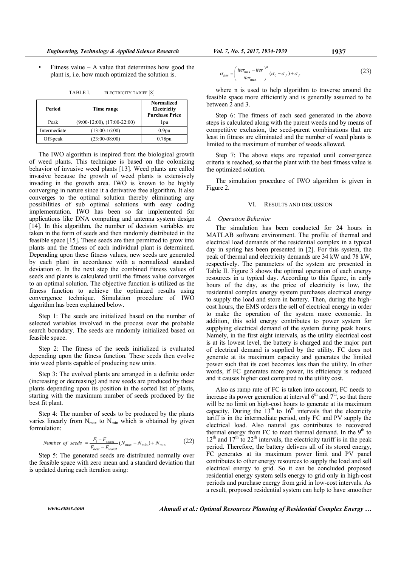Fitness value – A value that determines how good the plant is, i.e. how much optimized the solution is.

**Period Time range Normalized Electricity Purchase Price**  Peak (9:00-12:00), (17:00-22:00) 1pu Intermediate (13:00-16:00) 0.9pu Off-peak (23:00-08:00) 0.78pu

TABLE I. ELECTRICITY TARIFF [8]

The IWO algorithm is inspired from the biological growth of weed plants. This technique is based on the colonizing behavior of invasive weed plants [13]. Weed plants are called invasive because the growth of weed plants is extensively invading in the growth area. IWO is known to be highly converging in nature since it a derivative free algorithm. It also converges to the optimal solution thereby eliminating any possibilities of sub optimal solutions with easy coding implementation. IWO has been so far implemented for applications like DNA computing and antenna system design [14]. In this algorithm, the number of decision variables are taken in the form of seeds and then randomly distributed in the feasible space [15]. These seeds are then permitted to grow into plants and the fitness of each individual plant is determined. Depending upon these fitness values, new seeds are generated by each plant in accordance with a normalized standard deviation σ. In the next step the combined fitness values of seeds and plants is calculated until the fitness value converges to an optimal solution. The objective function is utilized as the fitness function to achieve the optimized results using convergence technique. Simulation procedure of IWO algorithm has been explained below.

Step 1: The seeds are initialized based on the number of selected variables involved in the process over the probable search boundary. The seeds are randomly initialized based on feasible space.

Step 2: The fitness of the seeds initialized is evaluated depending upon the fitness function. These seeds then evolve into weed plants capable of producing new units.

Step 3: The evolved plants are arranged in a definite order (increasing or decreasing) and new seeds are produced by these plants depending upon its position in the sorted list of plants, starting with the maximum number of seeds produced by the best fit plant.

Step 4: The number of seeds to be produced by the plants varies linearly from  $N_{\text{max}}$  to  $N_{\text{min}}$  which is obtained by given formulation:

Number of seeds = 
$$
\frac{F_i - F_{worst}}{F_{best} - F_{worst}} (N_{\text{max}} - N_{\text{min}}) + N_{\text{min}}
$$
 (22)

Step 5: The generated seeds are distributed normally over the feasible space with zero mean and a standard deviation that is updated during each iteration using:

$$
\sigma_{iter} = \left(\frac{iter_{\text{max}} - iter}{iter_{\text{max}}}\right)^n (\sigma_0 - \sigma_f) + \sigma_f
$$
\n(23)

where n is used to help algorithm to traverse around the feasible space more efficiently and is generally assumed to be between 2 and 3.

Step 6: The fitness of each seed generated in the above steps is calculated along with the parent weeds and by means of competitive exclusion, the seed-parent combinations that are least in fitness are eliminated and the number of weed plants is limited to the maximum of number of weeds allowed.

Step 7: The above steps are repeated until convergence criteria is reached, so that the plant with the best fitness value is the optimized solution.

The simulation procedure of IWO algorithm is given in Figure 2.

## VI. RESULTS AND DISCUSSION

## *A. Operation Behavior*

The simulation has been conducted for 24 hours in MATLAB software environment. The profile of thermal and electrical load demands of the residential complex in a typical day in spring has been presented in [2]. For this system, the peak of thermal and electricity demands are 34 kW and 78 kW, respectively. The parameters of the system are presented in Table II. Figure 3 shows the optimal operation of each energy resources in a typical day. According to this figure, in early hours of the day, as the price of electricity is low, the residential complex energy system purchases electrical energy to supply the load and store in battery. Then, during the highcost hours, the EMS orders the sell of electrical energy in order to make the operation of the system more economic. In addition, this sold energy contributes to power system for supplying electrical demand of the system during peak hours. Namely, in the first eight intervals, as the utility electrical cost is at its lowest level, the battery is charged and the major part of electrical demand is supplied by the utility. FC does not generate at its maximum capacity and generates the limited power such that its cost becomes less than the utility. In other words, if FC generates more power, its efficiency is reduced and it causes higher cost compared to the utility cost.

Also as ramp rate of FC is taken into account, FC needs to increase its power generation at interval  $6<sup>th</sup>$  and  $7<sup>th</sup>$ , so that there will be no limit on high-cost hours to generate at its maximum capacity. During the  $13<sup>th</sup>$  to  $16<sup>th</sup>$  intervals that the electricity tariff is in the intermediate period, only FC and PV supply the electrical load. Also natural gas contributes to recovered thermal energy from FC to meet thermal demand. In the  $9<sup>th</sup>$  to  $12<sup>th</sup>$  and  $17<sup>th</sup>$  to  $22<sup>th</sup>$  intervals, the electricity tariff is in the peak period. Therefore, the battery delivers all of its stored energy, FC generates at its maximum power limit and PV panel contributes to other energy resources to supply the load and sell electrical energy to grid. So it can be concluded proposed residential energy system sells energy to grid only in high-cost periods and purchase energy from grid in low-cost intervals. As a result, proposed residential system can help to have smoother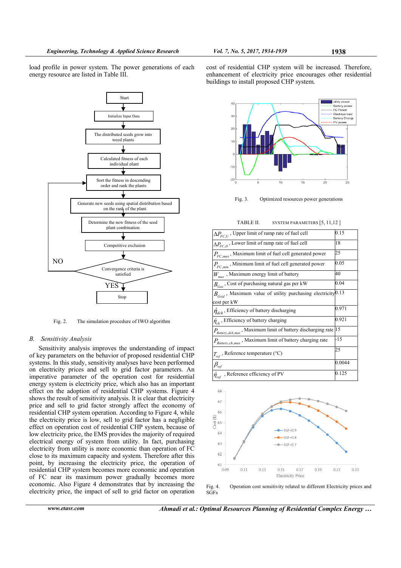load profile in power system. The power generations of each energy resource are listed in Table III.



Fig. 2. The simulation procedure of IWO algorithm

# *B. Sensitivity Analysis*

Sensitivity analysis improves the understanding of impact of key parameters on the behavior of proposed residential CHP systems. In this study, sensitivity analyses have been performed on electricity prices and sell to grid factor parameters. An imperative parameter of the operation cost for residential energy system is electricity price, which also has an important effect on the adoption of residential CHP systems. Figure 4 shows the result of sensitivity analysis. It is clear that electricity price and sell to grid factor strongly affect the economy of residential CHP system operation. According to Figure 4, while the electricity price is low, sell to grid factor has a negligible effect on operation cost of residential CHP system, because of low electricity price, the EMS provides the majority of required electrical energy of system from utility. In fact, purchasing electricity from utility is more economic than operation of FC close to its maximum capacity and system. Therefore after this point, by increasing the electricity price, the operation of residential CHP system becomes more economic and operation of FC near its maximum power gradually becomes more economic. Also Figure 4 demonstrates that by increasing the electricity price, the impact of sell to grid factor on operation

cost of residential CHP system will be increased. Therefore, enhancement of electricity price encourages other residential buildings to install proposed CHP system.



Fig. 3. Optimized resources power generations

TABLE II. SYSTEM PARAMETERS [5, 11,12 ]

| $\Delta P_{FC.U}$ , Upper limit of ramp rate of fuel cell                                | 0.15   |
|------------------------------------------------------------------------------------------|--------|
| $\Delta P_{FC,D}$ , Lower limit of ramp rate of fuel cell                                | 18     |
| $P_{FC,max}$ , Maximum limit of fuel cell generated power                                | 25     |
| $P_{FC,min}$ , Minimum limit of fuel cell generated power                                | 0.05   |
| $W_{max}$ , Maximum energy limit of battery                                              | 40     |
| $B_{Gas}$ , Cost of purchasing natural gas per kW                                        | 0.04   |
| $B_{\text{Grid}}$ , Maximum value of utility purchasing electricity <sup>0.13</sup>      |        |
| cost per kW                                                                              |        |
| $\eta_{dch}$ , Efficiency of battery discharging                                         | 0.971  |
| $\eta_{ch}$ , Efficiency of battery charging                                             | 0.921  |
| $P_{\text{Battery}, dch, max}$ , Maximum limit of battery discharging rate 15            |        |
| $P_{\textit{Battery},\textit{ch},\textit{max}}$ , Maximum limit of battery charging rate | -15    |
| $T_{ref}$ , Reference temperature (°C)                                                   | 25     |
| $\beta_{\rm ref}$                                                                        | 0.0044 |
| $\eta_{ref}$ , Reference efficiency of PV                                                | 0.125  |
|                                                                                          |        |
| 68                                                                                       |        |
|                                                                                          |        |
| 67                                                                                       |        |